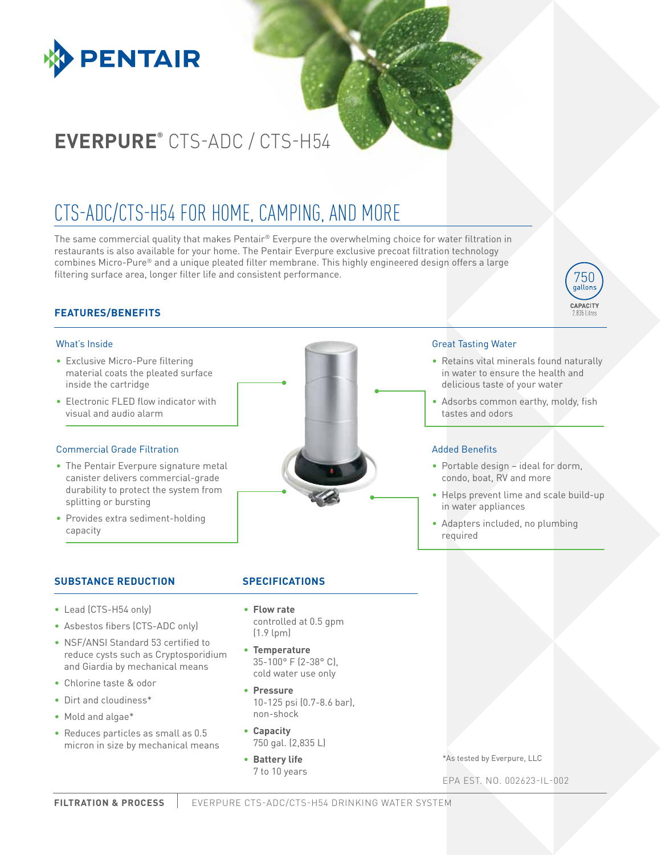

# **EVERPURE®** CTS-ADC / CTS-H54

## CTS-ADC/CTS-H54 FOR HOME, CAMPING, AND MORE

The same commercial quality that makes Pentair® Everpure the overwhelming choice for water filtration in restaurants is also available for your home. The Pentair Everpure exclusive precoat filtration technology combines Micro-Pure® and a unique pleated filter membrane. This highly engineered design offers a large filtering surface area, longer filter life and consistent performance.

## **FEATURES/BENEFITS**

### What's Inside

- Exclusive Micro-Pure filtering material coats the pleated surface inside the cartridge
- Electronic FLED flow indicator with visual and audio alarm

#### Commercial Grade Filtration

- The Pentair Everpure signature metal canister delivers commercial-grade durability to protect the system from splitting or bursting
- Provides extra sediment-holding capacity



### **SUBSTANCE REDUCTION SPECIFICATIONS**

- Lead (CTS-H54 only)
- Asbestos fibers (CTS-ADC only)
- NSF/ANSI Standard 53 certified to reduce cysts such as Cryptosporidium and Giardia by mechanical means
- Chlorine taste & odor
- Dirt and cloudiness\*
- Mold and algae\*
- Reduces particles as small as 0.5 micron in size by mechanical means
- 
- **Flow rate** controlled at 0.5 gpm (1.9 lpm)
- **Temperature** 35-100° F (2-38° C), cold water use only
- **Pressure** 10-125 psi (0.7-8.6 bar), non-shock
- **Capacity** 750 gal. (2,835 L)
- **Battery life** 7 to 10 years

\*As tested by Everpure, LLC

EPA EST. NO. 002623-IL-002



• Retains vital minerals found naturally in water to ensure the health and delicious taste of your water

750 gallons CAPACITY

• Adsorbs common earthy, moldy, fish tastes and odors

#### Added Benefits

- Portable design ideal for dorm, condo, boat, RV and more
- Helps prevent lime and scale build-up in water appliances
- Adapters included, no plumbing required